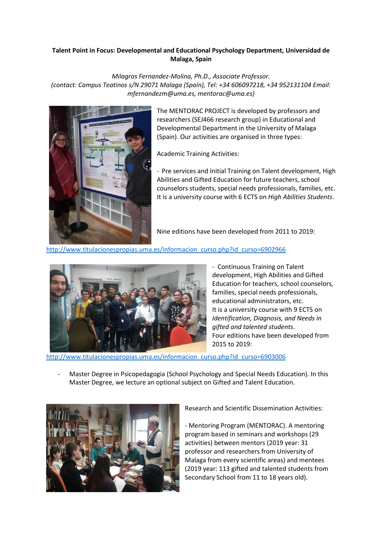## **Talent Point in Focus: Developmental and Educational Psychology Department, Universidad de Malaga, Spain**

*Milagros Fernandez-Molina, Ph.D., Associate Professor. (contact: Campus Teatinos s/N 29071 Malaga (Spain), Tel: +34 606097218, +34 952131104 Email: [mfernandezm@uma.es,](mailto:mfernandezm@uma.es) [mentorac@uma.es\)](mailto:mentorac@uma.es)*



The MENTORAC PROJECT is developed by professors and researchers (SEJ466 research group) in Educational and Developmental Department in the University of Malaga (Spain). Our activities are organised in three types:

Academic Training Activities:

- Pre services and Initial Training on Talent development, High Abilities and Gifted Education for future teachers, school counselors students, special needs professionals, families, etc. It is a university course with 6 ECTS on *High Abilities Students*.

Nine editions have been developed from 2011 to 2019:

[http://www.titulacionespropias.uma.es/informacion\\_curso.php?id\\_curso=6902966](http://www.titulacionespropias.uma.es/informacion_curso.php?id_curso=6902966)



- Continuous Training on Talent development, High Abilities and Gifted Education for teachers, school counselors, families, special needs professionals, educational administrators, etc. It is a university course with 9 ECTS on *Identification, Diagnosis, and Needs in gifted and talented students*. Four editions have been developed from 2015 to 2019:

[http://www.titulacionespropias.uma.es/informacion\\_curso.php?id\\_curso=6903006](http://www.titulacionespropias.uma.es/informacion_curso.php?id_curso=6903006)

- Master Degree in Psicopedagogia (School Psychology and Special Needs Education). In this Master Degree, we lecture an optional subject on Gifted and Talent Education.



Research and Scientific Dissemination Activities:

- Mentoring Program (MENTORAC). A mentoring program based in seminars and workshops (29 activities) between mentors (2019 year: 31 professor and researchers from University of Malaga from every scientific areas) and mentees (2019 year: 113 gifted and talented students from Secondary School from 11 to 18 years old).